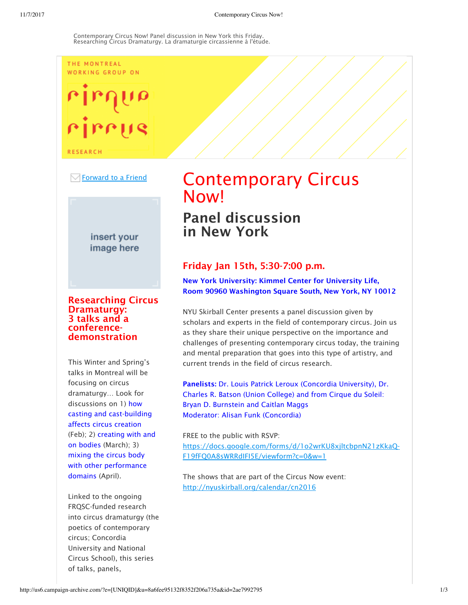### THE MONTREAL WORKING GROUP ON

# ire

**RESEARCH** 



insert your image here

# Researching Circus Dramaturgy: 3 talks and a conferencedemonstration

This Winter and Spring's talks in Montreal will be focusing on circus dramaturgy… Look for discussions on 1) how casting and cast-building affects circus creation (Feb); 2) creating with and on bodies (March); 3) mixing the circus body with other performance domains (April).

Linked to the ongoing FRQSC-funded research into circus dramaturgy (the poetics of contemporary circus; Concordia University and National Circus School), this series of talks, panels,

# Contemporary Circus **Now!**

# Panel discussion in New York

# Friday Jan 15th, 5:30-7:00 p.m.

New York University: Kimmel Center for University Life, Room 90960 Washington Square South, New York, NY 10012

NYU Skirball Center presents a panel discussion given by scholars and experts in the field of contemporary circus. Join us as they share their unique perspective on the importance and challenges of presenting contemporary circus today, the training and mental preparation that goes into this type of artistry, and current trends in the field of circus research.

Panelists: Dr. Louis Patrick Leroux (Concordia University), Dr. Charles R. Batson (Union College) and from Cirque du Soleil: Bryan D. Burnstein and Caitlan Maggs Moderator: Alisan Funk (Concordia)

FREE to the public with RSVP: https://docs.google.com/forms/d/1o2wrKU8xjltcbpnN21zKkaQ-F19fFQ0A8sWRRdIFI5E/viewform?c=0&w=1

The shows that are part of the Circus Now event: http://nyuskirball.org/calendar/cn2016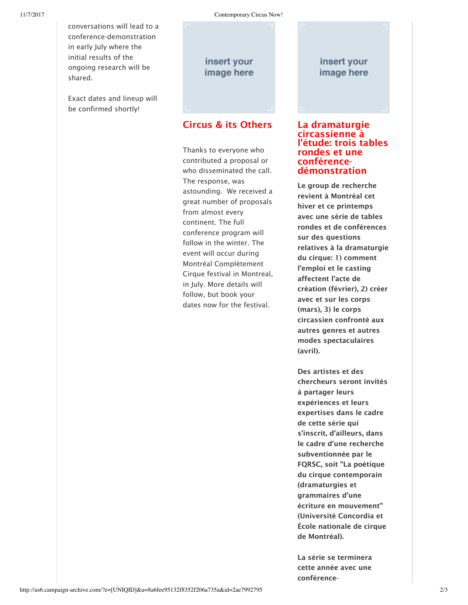conversations will lead to a conference-demonstration in early July where the initial results of the ongoing research will be shared.

Exact dates and lineup will be confirmed shortly!

insert your image here

# Circus & its Others

Thanks to everyone who contributed a proposal or who disseminated the call. The response, was astounding. We received a great number of proposals from almost every continent. The full conference program will follow in the winter. The event will occur during Montréal Complètement Cirque festival in Montreal, in July. More details will follow, but book your dates now for the festival.

# insert your image here

## La dramaturgie circassienne à l'étude: trois tables rondes et une conférencedémonstration

Le group de recherche revient à Montréal cet hiver et ce printemps avec une série de tables rondes et de conférences sur des questions relatives à la dramaturgie du cirque: 1) comment l'emploi et le casting affectent l'acte de création (février), 2) créer avec et sur les corps (mars), 3) le corps circassien confronté aux autres genres et autres modes spectaculaires (avril).

Des artistes et des chercheurs seront invités à partager leurs expériences et leurs expertises dans le cadre de cette série qui s'inscrit, d'ailleurs, dans le cadre d'une recherche subventionnée par le FQRSC, soit "La poétique du cirque contemporain (dramaturgies et grammaires d'une écriture en mouvement" (Université Concordia et École nationale de cirque de Montréal).

La série se terminera cette année avec une conférence-